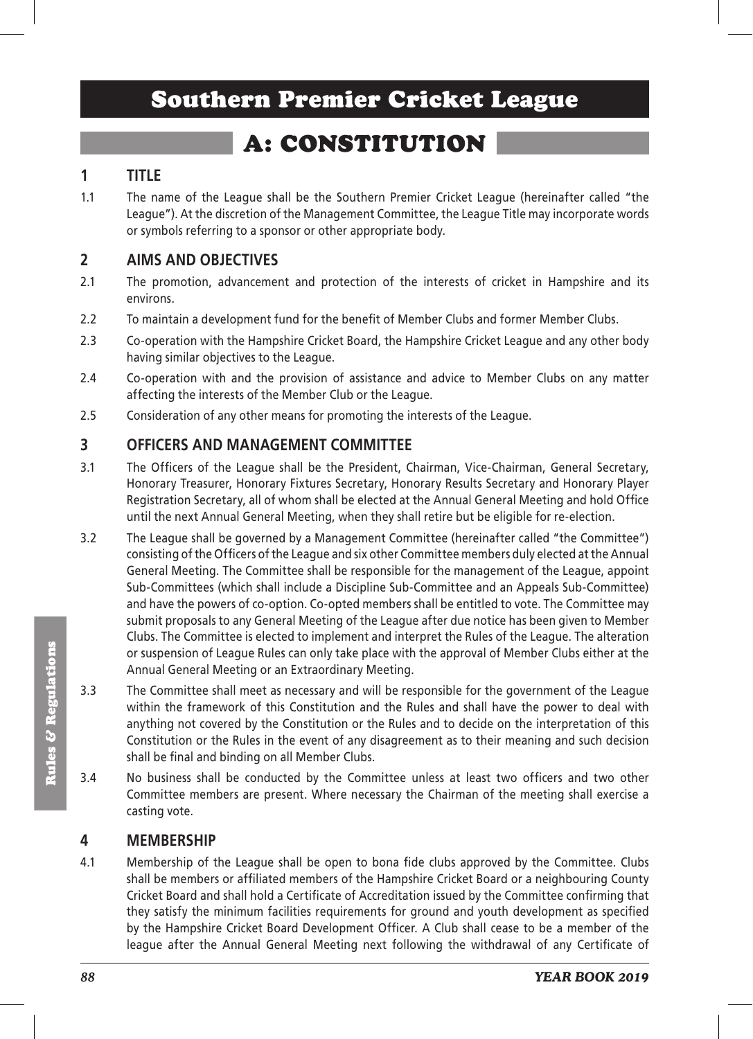# Southern Premier Cricket League

# A: CONSTITUTION

# **1 TITLE**

1.1 The name of the League shall be the Southern Premier Cricket League (hereinafter called "the League"). At the discretion of the Management Committee, the League Title may incorporate words or symbols referring to a sponsor or other appropriate body.

## **2 AIMS AND OBJECTIVES**

- 2.1 The promotion, advancement and protection of the interests of cricket in Hampshire and its environs.
- 2.2 To maintain a development fund for the benefit of Member Clubs and former Member Clubs.
- 2.3 Co-operation with the Hampshire Cricket Board, the Hampshire Cricket League and any other body having similar objectives to the League.
- 2.4 Co-operation with and the provision of assistance and advice to Member Clubs on any matter affecting the interests of the Member Club or the League.
- 2.5 Consideration of any other means for promoting the interests of the League.

## **3 OFFICERS AND MANAGEMENT COMMITTEE**

- 3.1 The Officers of the League shall be the President, Chairman, Vice-Chairman, General Secretary, Honorary Treasurer, Honorary Fixtures Secretary, Honorary Results Secretary and Honorary Player Registration Secretary, all of whom shall be elected at the Annual General Meeting and hold Office until the next Annual General Meeting, when they shall retire but be eligible for re-election.
- 3.2 The League shall be governed by a Management Committee (hereinafter called "the Committee") consisting of the Officers of the League and six other Committee members duly elected at the Annual General Meeting. The Committee shall be responsible for the management of the League, appoint Sub-Committees (which shall include a Discipline Sub-Committee and an Appeals Sub-Committee) and have the powers of co-option. Co-opted members shall be entitled to vote. The Committee may submit proposals to any General Meeting of the League after due notice has been given to Member Clubs. The Committee is elected to implement and interpret the Rules of the League. The alteration or suspension of League Rules can only take place with the approval of Member Clubs either at the Annual General Meeting or an Extraordinary Meeting.
- 3.3 The Committee shall meet as necessary and will be responsible for the government of the League within the framework of this Constitution and the Rules and shall have the power to deal with anything not covered by the Constitution or the Rules and to decide on the interpretation of this Constitution or the Rules in the event of any disagreement as to their meaning and such decision shall be final and binding on all Member Clubs.
- 3.4 No business shall be conducted by the Committee unless at least two officers and two other Committee members are present. Where necessary the Chairman of the meeting shall exercise a casting vote.

### **4 MEMBERSHIP**

4.1 Membership of the League shall be open to bona fide clubs approved by the Committee. Clubs shall be members or affiliated members of the Hampshire Cricket Board or a neighbouring County Cricket Board and shall hold a Certificate of Accreditation issued by the Committee confirming that they satisfy the minimum facilities requirements for ground and youth development as specified by the Hampshire Cricket Board Development Officer. A Club shall cease to be a member of the league after the Annual General Meeting next following the withdrawal of any Certificate of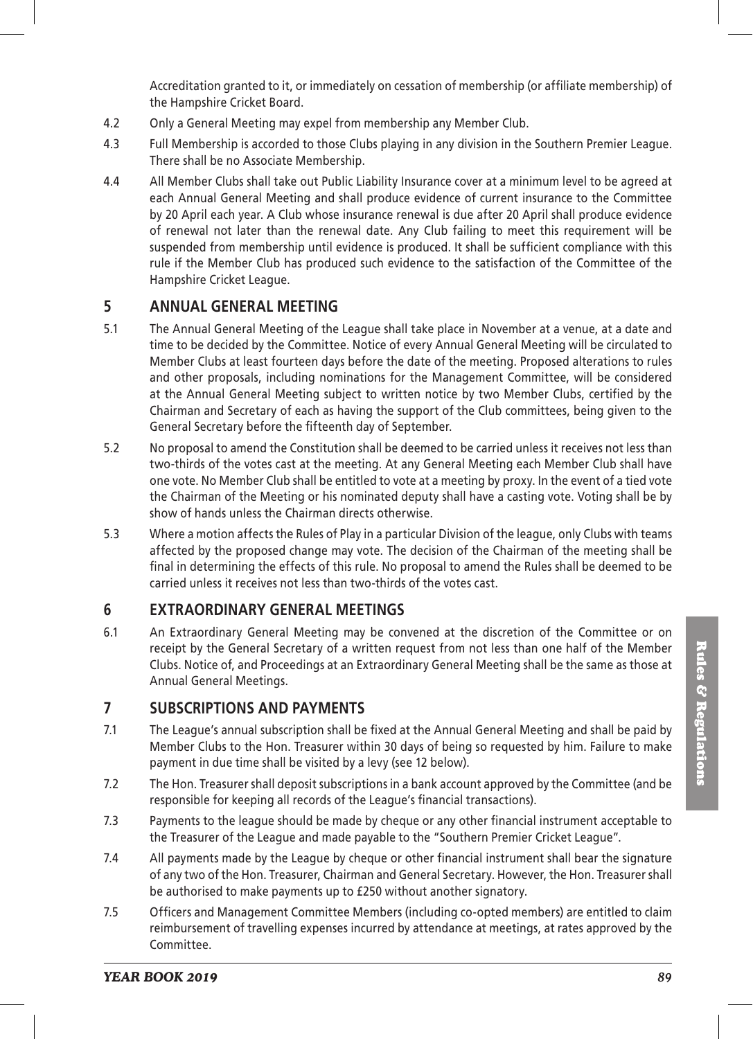Accreditation granted to it, or immediately on cessation of membership (or affiliate membership) of the Hampshire Cricket Board.

- 4.2 Only a General Meeting may expel from membership any Member Club.
- 4.3 Full Membership is accorded to those Clubs playing in any division in the Southern Premier League. There shall be no Associate Membership.
- 4.4 All Member Clubs shall take out Public Liability Insurance cover at a minimum level to be agreed at each Annual General Meeting and shall produce evidence of current insurance to the Committee by 20 April each year. A Club whose insurance renewal is due after 20 April shall produce evidence of renewal not later than the renewal date. Any Club failing to meet this requirement will be suspended from membership until evidence is produced. It shall be sufficient compliance with this rule if the Member Club has produced such evidence to the satisfaction of the Committee of the Hampshire Cricket League.

#### **5 ANNUAL GENERAL MEETING**

- 5.1 The Annual General Meeting of the League shall take place in November at a venue, at a date and time to be decided by the Committee. Notice of every Annual General Meeting will be circulated to Member Clubs at least fourteen days before the date of the meeting. Proposed alterations to rules and other proposals, including nominations for the Management Committee, will be considered at the Annual General Meeting subject to written notice by two Member Clubs, certified by the Chairman and Secretary of each as having the support of the Club committees, being given to the General Secretary before the fifteenth day of September.
- 5.2 No proposal to amend the Constitution shall be deemed to be carried unless it receives not less than two-thirds of the votes cast at the meeting. At any General Meeting each Member Club shall have one vote. No Member Club shall be entitled to vote at a meeting by proxy. In the event of a tied vote the Chairman of the Meeting or his nominated deputy shall have a casting vote. Voting shall be by show of hands unless the Chairman directs otherwise.
- 5.3 Where a motion affects the Rules of Play in a particular Division of the league, only Clubs with teams affected by the proposed change may vote. The decision of the Chairman of the meeting shall be final in determining the effects of this rule. No proposal to amend the Rules shall be deemed to be carried unless it receives not less than two-thirds of the votes cast.

#### **6 EXTRAORDINARY GENERAL MEETINGS**

6.1 An Extraordinary General Meeting may be convened at the discretion of the Committee or on receipt by the General Secretary of a written request from not less than one half of the Member Clubs. Notice of, and Proceedings at an Extraordinary General Meeting shall be the same as those at Annual General Meetings.

#### **7 SUBSCRIPTIONS AND PAYMENTS**

- 7.1 The League's annual subscription shall be fixed at the Annual General Meeting and shall be paid by Member Clubs to the Hon. Treasurer within 30 days of being so requested by him. Failure to make payment in due time shall be visited by a levy (see 12 below).
- 7.2 The Hon. Treasurer shall deposit subscriptions in a bank account approved by the Committee (and be responsible for keeping all records of the League's financial transactions).
- 7.3 Payments to the league should be made by cheque or any other financial instrument acceptable to the Treasurer of the League and made payable to the "Southern Premier Cricket League".
- 7.4 All payments made by the League by cheque or other financial instrument shall bear the signature of any two of the Hon. Treasurer, Chairman and General Secretary. However, the Hon. Treasurer shall be authorised to make payments up to £250 without another signatory.
- 7.5 Officers and Management Committee Members (including co-opted members) are entitled to claim reimbursement of travelling expenses incurred by attendance at meetings, at rates approved by the Committee.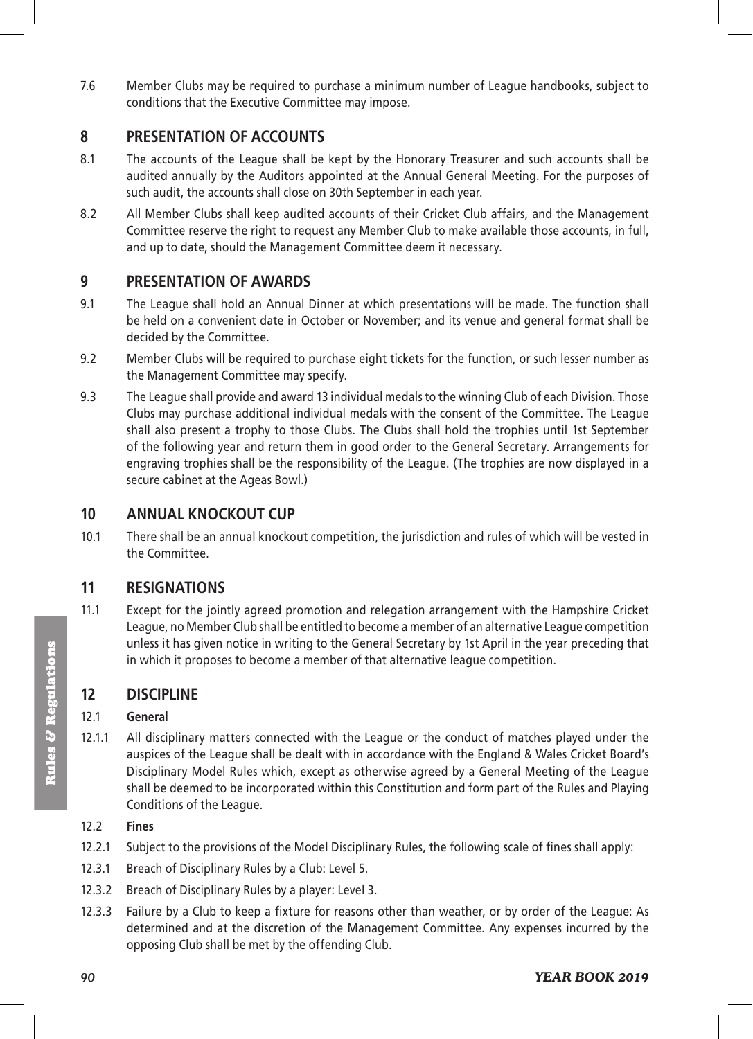7.6 Member Clubs may be required to purchase a minimum number of League handbooks, subject to conditions that the Executive Committee may impose.

#### **8 PRESENTATION OF ACCOUNTS**

- 8.1 The accounts of the League shall be kept by the Honorary Treasurer and such accounts shall be audited annually by the Auditors appointed at the Annual General Meeting. For the purposes of such audit, the accounts shall close on 30th September in each year.
- 8.2 All Member Clubs shall keep audited accounts of their Cricket Club affairs, and the Management Committee reserve the right to request any Member Club to make available those accounts, in full, and up to date, should the Management Committee deem it necessary.

#### **9 PRESENTATION OF AWARDS**

- 9.1 The League shall hold an Annual Dinner at which presentations will be made. The function shall be held on a convenient date in October or November; and its venue and general format shall be decided by the Committee.
- 9.2 Member Clubs will be required to purchase eight tickets for the function, or such lesser number as the Management Committee may specify.
- 9.3 The League shall provide and award 13 individual medals to the winning Club of each Division. Those Clubs may purchase additional individual medals with the consent of the Committee. The League shall also present a trophy to those Clubs. The Clubs shall hold the trophies until 1st September of the following year and return them in good order to the General Secretary. Arrangements for engraving trophies shall be the responsibility of the League. (The trophies are now displayed in a secure cabinet at the Ageas Bowl.)

### **10 ANNUAL KNOCKOUT CUP**

10.1 There shall be an annual knockout competition, the jurisdiction and rules of which will be vested in the Committee.

### **11 RESIGNATIONS**

11.1 Except for the jointly agreed promotion and relegation arrangement with the Hampshire Cricket League, no Member Club shall be entitled to become a member of an alternative League competition unless it has given notice in writing to the General Secretary by 1st April in the year preceding that in which it proposes to become a member of that alternative league competition.

### **12 DISCIPLINE**

#### 12.1 **General**

12.1.1 All disciplinary matters connected with the League or the conduct of matches played under the auspices of the League shall be dealt with in accordance with the England & Wales Cricket Board's Disciplinary Model Rules which, except as otherwise agreed by a General Meeting of the League shall be deemed to be incorporated within this Constitution and form part of the Rules and Playing Conditions of the League.

#### 12.2 **Fines**

- 12.2.1 Subject to the provisions of the Model Disciplinary Rules, the following scale of fines shall apply:
- 12.3.1 Breach of Disciplinary Rules by a Club: Level 5.
- 12.3.2 Breach of Disciplinary Rules by a player: Level 3.
- 12.3.3 Failure by a Club to keep a fixture for reasons other than weather, or by order of the League: As determined and at the discretion of the Management Committee. Any expenses incurred by the opposing Club shall be met by the offending Club.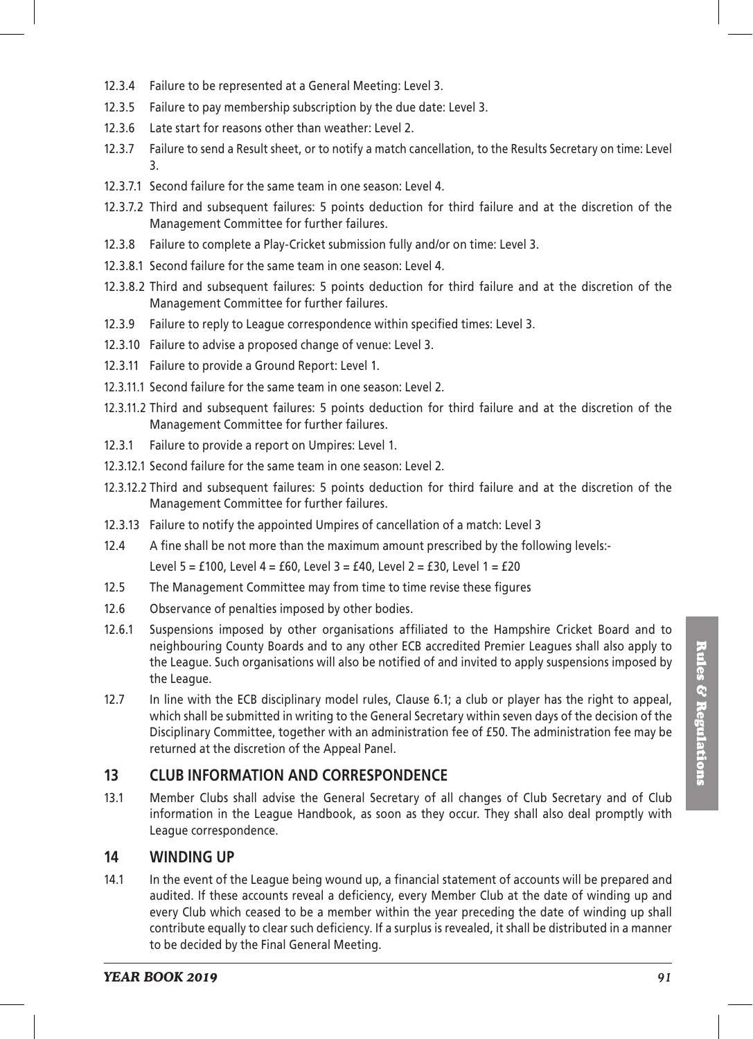- 12.3.4 Failure to be represented at a General Meeting: Level 3.
- 12.3.5 Failure to pay membership subscription by the due date: Level 3.
- 12.3.6 Late start for reasons other than weather: Level 2.
- 12.3.7 Failure to send a Result sheet, or to notify a match cancellation, to the Results Secretary on time: Level 3.
- 12.3.7.1 Second failure for the same team in one season: Level 4.
- 12.3.7.2 Third and subsequent failures: 5 points deduction for third failure and at the discretion of the Management Committee for further failures.
- 12.3.8 Failure to complete a Play-Cricket submission fully and/or on time: Level 3.
- 12.3.8.1 Second failure for the same team in one season: Level 4.
- 12.3.8.2 Third and subsequent failures: 5 points deduction for third failure and at the discretion of the Management Committee for further failures.
- 12.3.9 Failure to reply to League correspondence within specified times: Level 3.
- 12.3.10 Failure to advise a proposed change of venue: Level 3.
- 12.3.11 Failure to provide a Ground Report: Level 1.
- 12.3.11.1 Second failure for the same team in one season: Level 2.
- 12.3.11.2 Third and subsequent failures: 5 points deduction for third failure and at the discretion of the Management Committee for further failures.
- 12.3.1 Failure to provide a report on Umpires: Level 1.
- 12.3.12.1 Second failure for the same team in one season: Level 2.
- 12.3.12.2 Third and subsequent failures: 5 points deduction for third failure and at the discretion of the Management Committee for further failures.
- 12.3.13 Failure to notify the appointed Umpires of cancellation of a match: Level 3
- 12.4 A fine shall be not more than the maximum amount prescribed by the following levels:- Level 5 = £100, Level 4 = £60, Level 3 = £40, Level 2 = £30, Level 1 = £20
- 12.5 The Management Committee may from time to time revise these figures
- 12.6 Observance of penalties imposed by other bodies.
- 12.6.1 Suspensions imposed by other organisations affiliated to the Hampshire Cricket Board and to neighbouring County Boards and to any other ECB accredited Premier Leagues shall also apply to the League. Such organisations will also be notified of and invited to apply suspensions imposed by the League.
- 12.7 In line with the ECB disciplinary model rules, Clause 6.1; a club or player has the right to appeal, which shall be submitted in writing to the General Secretary within seven days of the decision of the Disciplinary Committee, together with an administration fee of £50. The administration fee may be returned at the discretion of the Appeal Panel.

#### **13 CLUB INFORMATION AND CORRESPONDENCE**

13.1 Member Clubs shall advise the General Secretary of all changes of Club Secretary and of Club information in the League Handbook, as soon as they occur. They shall also deal promptly with League correspondence.

#### **14 WINDING UP**

14.1 In the event of the League being wound up, a financial statement of accounts will be prepared and audited. If these accounts reveal a deficiency, every Member Club at the date of winding up and every Club which ceased to be a member within the year preceding the date of winding up shall contribute equally to clear such deficiency. If a surplus is revealed, it shall be distributed in a manner to be decided by the Final General Meeting.